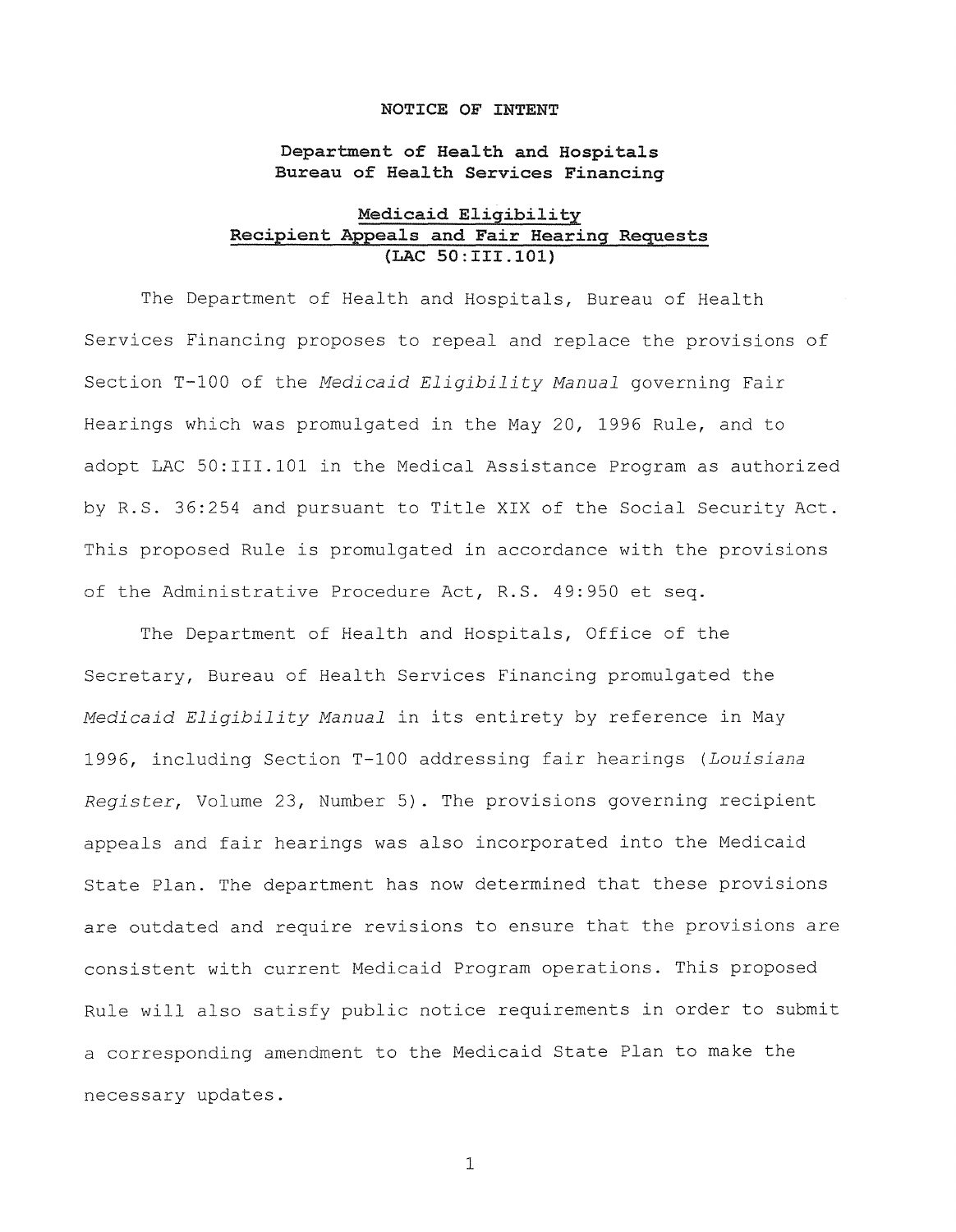## **NOTICE OF INTENT**

**Department of Health and Hospitals Bureau of Health Services Financing** 

# **Medicaid Eligibility Recipient Appeals and Fair Hearing Requests {LAC SO:III.101)**

The Department of Health and Hospitals, Bureau of Health Services Financing proposes to repeal and replace the provisions of Section T-100 of the *Medicaid Eligibility Manual* governing Fair Hearings which was promulgated in the May 20, 1996 Rule, and to adopt LAC 50:III.101 in the Medical Assistance Program as authorized by R.S. 36:254 and pursuant to Title XIX of the Social Security Act. This proposed Rule is promulgated in accordance with the provisions of the Administrative Procedure Act, R.S. 49:950 et seq.

The Department of Health and Hospitals, Office of the Secretary, Bureau of Health Services Financing promulgated the *Medicaid Eligibility Manual* in its entirety by reference in May 1996, including Section T-100 addressing fair hearings *(Louisiana Register,* Volume 23, Number 5). The provisions governing recipient appeals and fair hearings was also incorporated into the Medicaid State Plan. The department has now determined that these provisions are outdated and require revisions to ensure that the provisions are consistent with current Medicaid Program operations. This proposed Rule will also satisfy public notice requirements in order to submit a corresponding amendment to the Medicaid State Plan to make the necessary updates.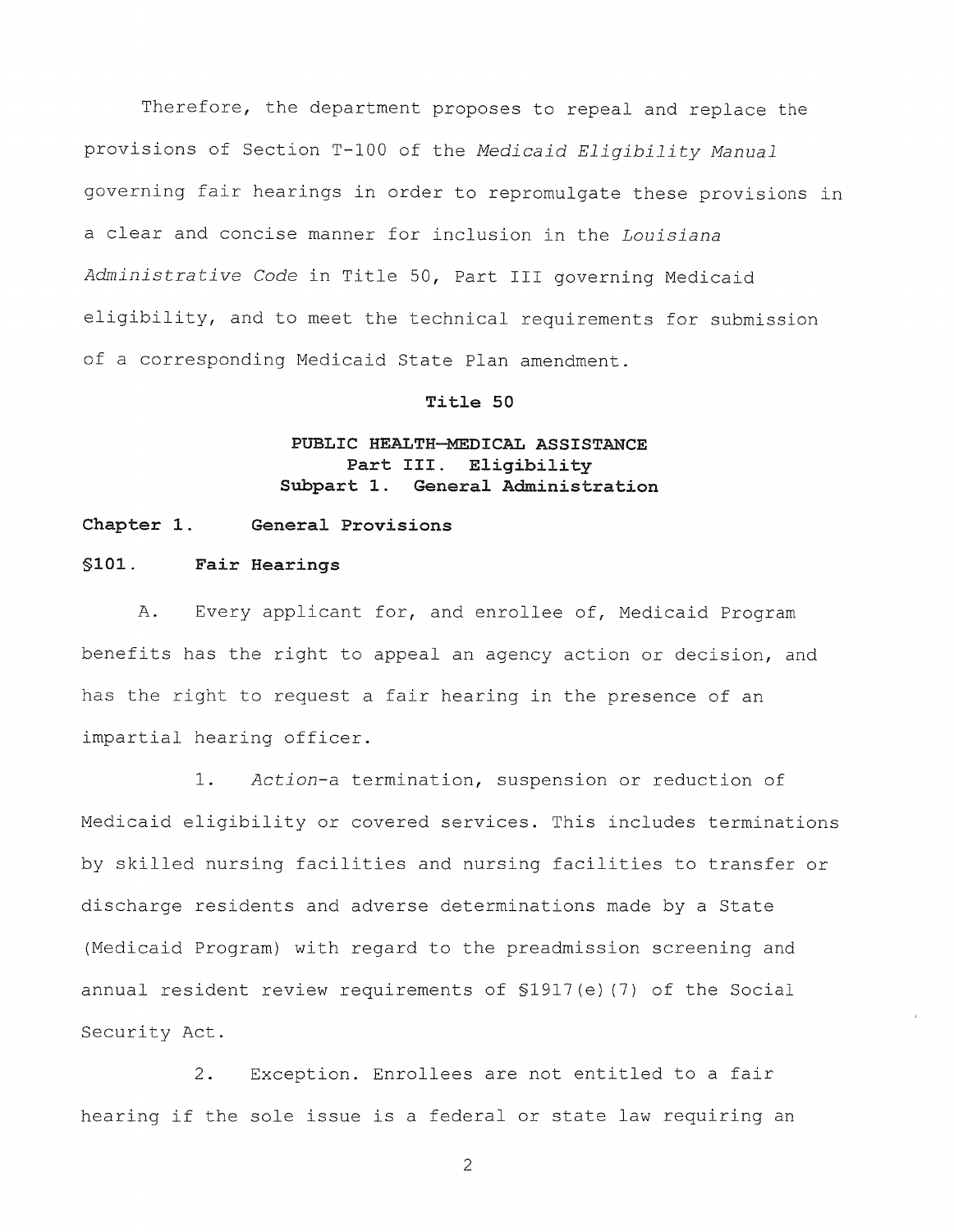Therefore, the department proposes to repeal and replace the provisions of Section T-100 of the *Medicaid Eligibility Manual*  governing fair hearings in order to repromulgate these provisions in a clear and concise manner for inclusion in the *Louisiana Administrative Code* in Title 50, Part III governing Medicaid eligibility, and to meet the technical requirements for submission of a corresponding Medicaid State Plan amendment.

## **Title 50**

# **PUBLIC HEALTH-MEDICAL ASSISTANCE Part III. Eligibility Subpart 1. General Administration**

# **Chapter 1. General Provisions**

# **§101. Fair Hearings**

A. Every applicant for, and enrollee of, Medicaid Program benefits has the right to appeal an agency action or decision, and has the right to request a fair hearing in the presence of an impartial hearing officer.

1. *Action-a* termination, suspension or reduction of Medicaid eligibility or covered services. This includes terminations by skilled nursing facilities and nursing facilities to transfer or discharge residents and adverse determinations made by a State (Medicaid Program) with regard to the preadmission screening and annual resident review requirements of §1917(e) (7) of the Social Security Act.

2. Exception. Enrollees are not entitled to a fair hearing if the sole issue is a federal or state law requiring an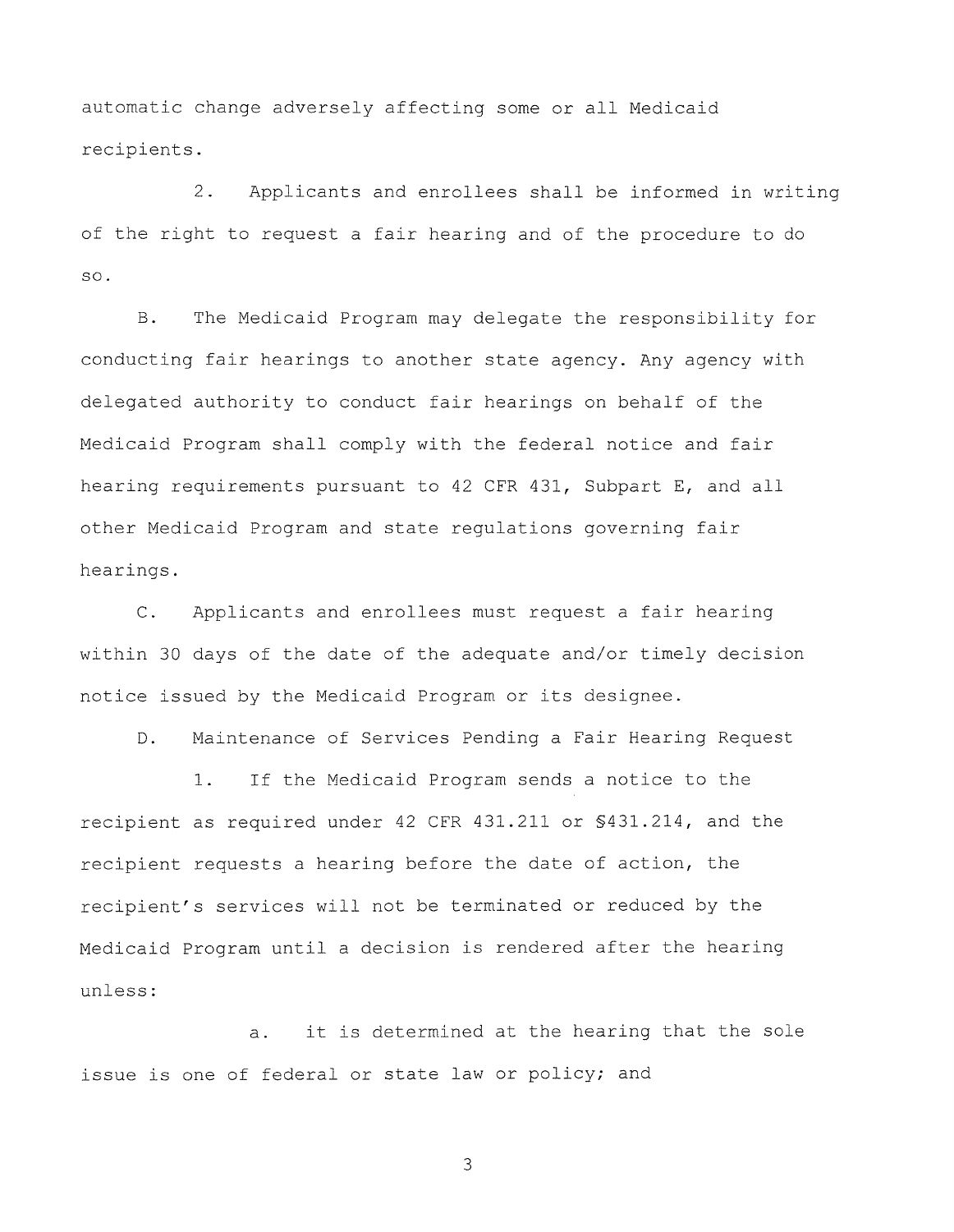automatic change adversely affecting some or all Medicaid recipients.

2. Applicants and enrollees shall be informed in writing of the right to request a fair hearing and of the procedure to do so.

B. The Medicaid Program may delegate the responsibility for conducting fair hearings to another state agency. Any agency with delegated authority to conduct fair hearings on behalf of the Medicaid Program shall comply with the federal notice and fair hearing requirements pursuant to 42 CFR 431, Subpart E, and all other Medicaid Program and state regulations governing fair hearings.

C. Applicants and enrollees must request a fair hearing within 30 days of the date of the adequate and/or timely decision notice issued by the Medicaid Program or its designee.

D. Maintenance of Services Pending a Fair Hearing Request

1. If the Medicaid Program sends a notice to the recipient as required under 42 CFR 431.211 or §431.214, and the recipient requests a hearing before the date of action, the recipient's services will not be terminated or reduced by the Medicaid Program until a decision is rendered after the hearing unless:

a. it is determined at the hearing that the sole issue is one of federal or state law or policy; and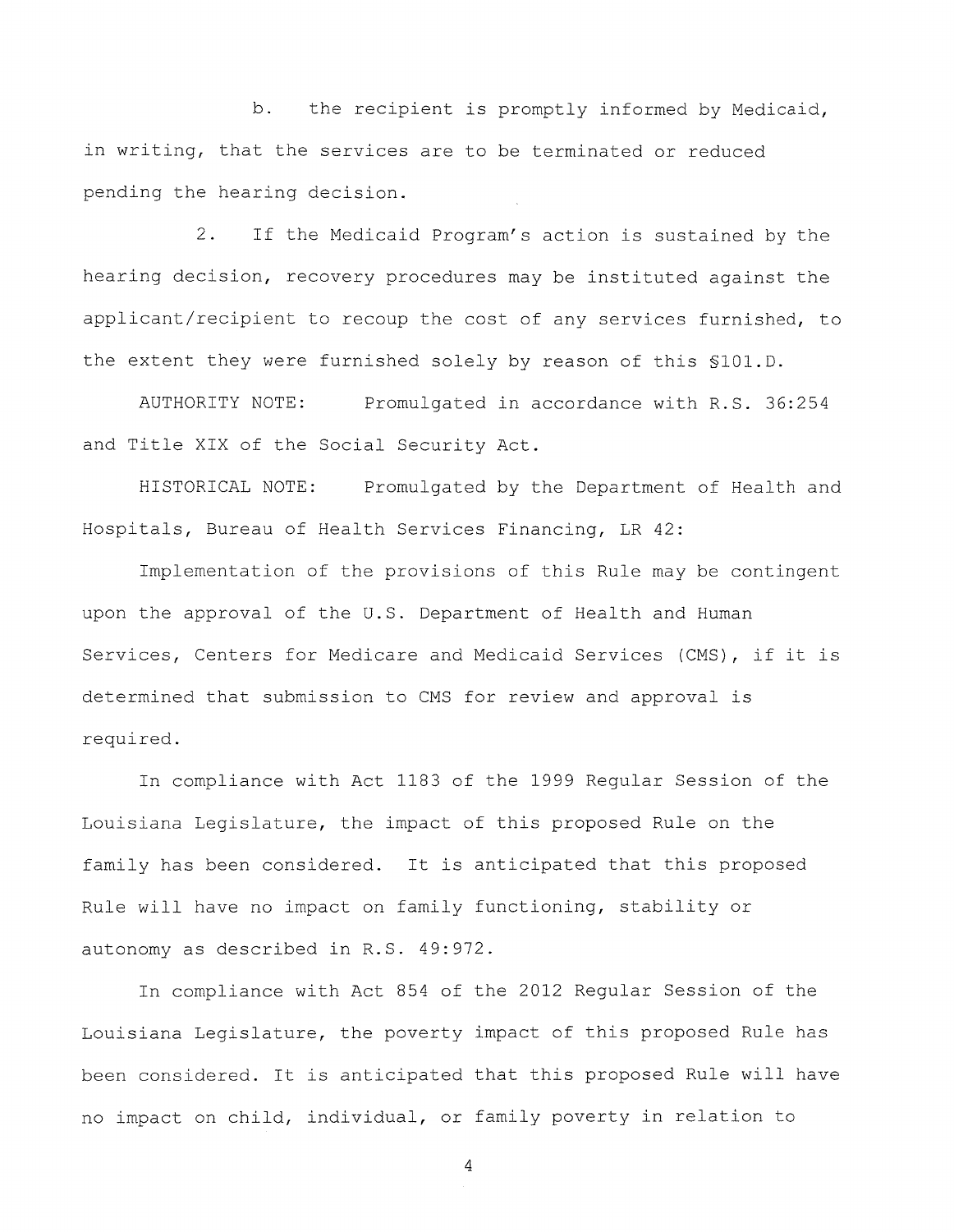b. the recipient is promptly informed by Medicaid, in writing, that the services are to be terminated or reduced pending the hearing decision.

2. If the Medicaid Program's action is sustained by the hearing decision, recovery procedures may be instituted against the applicant/recipient to recoup the cost of any services furnished, to the extent they were furnished solely by reason of this §101.D.

AUTHORITY NOTE: Promulgated in accordance with R.S. 36:254 and Title XIX of the Social Security Act.

HISTORICAL NOTE: Promulgated by the Department of Health and Hospitals, Bureau of Health Services Financing, LR 42:

Implementation of the provisions of this Rule may be contingent upon the approval of the U.S. Department of Health and Human Services, Centers for Medicare and Medicaid Services (CMS), if it is determined that submission to CMS for review and approval is required.

In compliance with Act 1183 of the 1999 Regular Session of the Louisiana Legislature, the impact of this proposed Rule on the family has been considered. It is anticipated that this proposed Rule will have no impact on family functioning, stability or autonomy as described in R.S. 49:972.

In compliance with Act 854 of the 2012 Regular Session of the Louisiana Legislature, the poverty impact of this proposed Rule has been considered. It is anticipated that this proposed Rule will have no impact on child, individual, or family poverty in relation to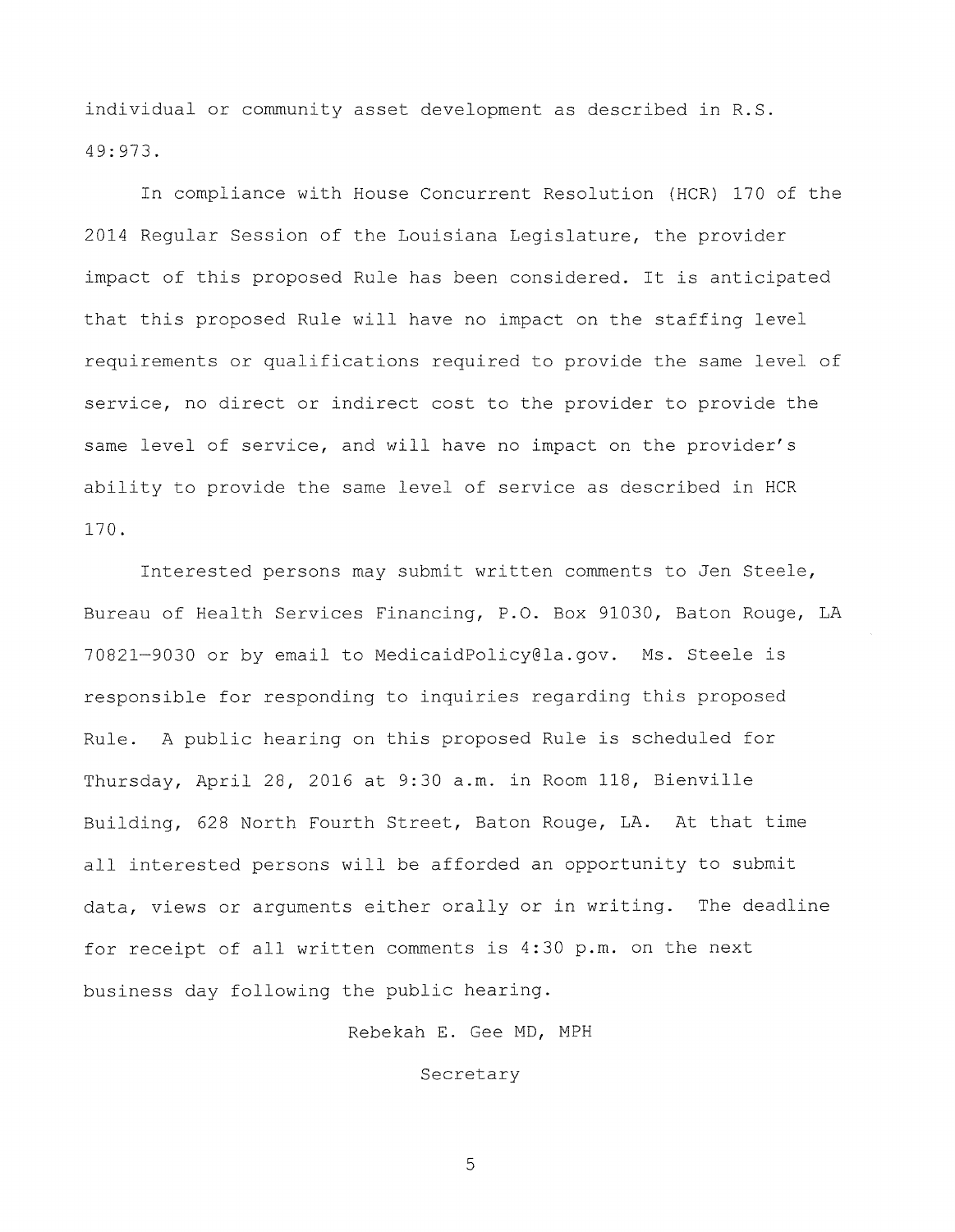individual or community asset development as described in R.S. 49:973.

In compliance with House Concurrent Resolution (HCR) 170 of the 2014 Regular Session of the Louisiana Legislature, the provider impact of this proposed Rule has been considered. It is anticipated that this proposed Rule will have no impact on the staffing level requirements or qualifications required to provide the same level of service, no direct or indirect cost to the provider to provide the same level of service, and will have no impact on the provider's ability to provide the same level of service as described in HCR 170.

Interested persons may submit written comments to Jen Steele, Bureau of Health Services Financing, P.O. Box 91030, Baton Rouge, LA 70821-9030 or by email to MedicaidPolicy@la.gov. Ms. Steele is responsible for responding to inquiries regarding this proposed Rule. A public hearing on this proposed Rule is scheduled for Thursday, April 28, 2016 at 9:30 a.m. in Room 118, Bienville Building, 628 North Fourth Street, Baton Rouge, LA. At that time all interested persons will be afforded an opportunity to submit data, views or arguments either orally or in writing. The deadline for receipt of all written comments is 4:30 p.m. on the next business day following the public hearing.

Rebekah E. Gee MD, MPH

Secretary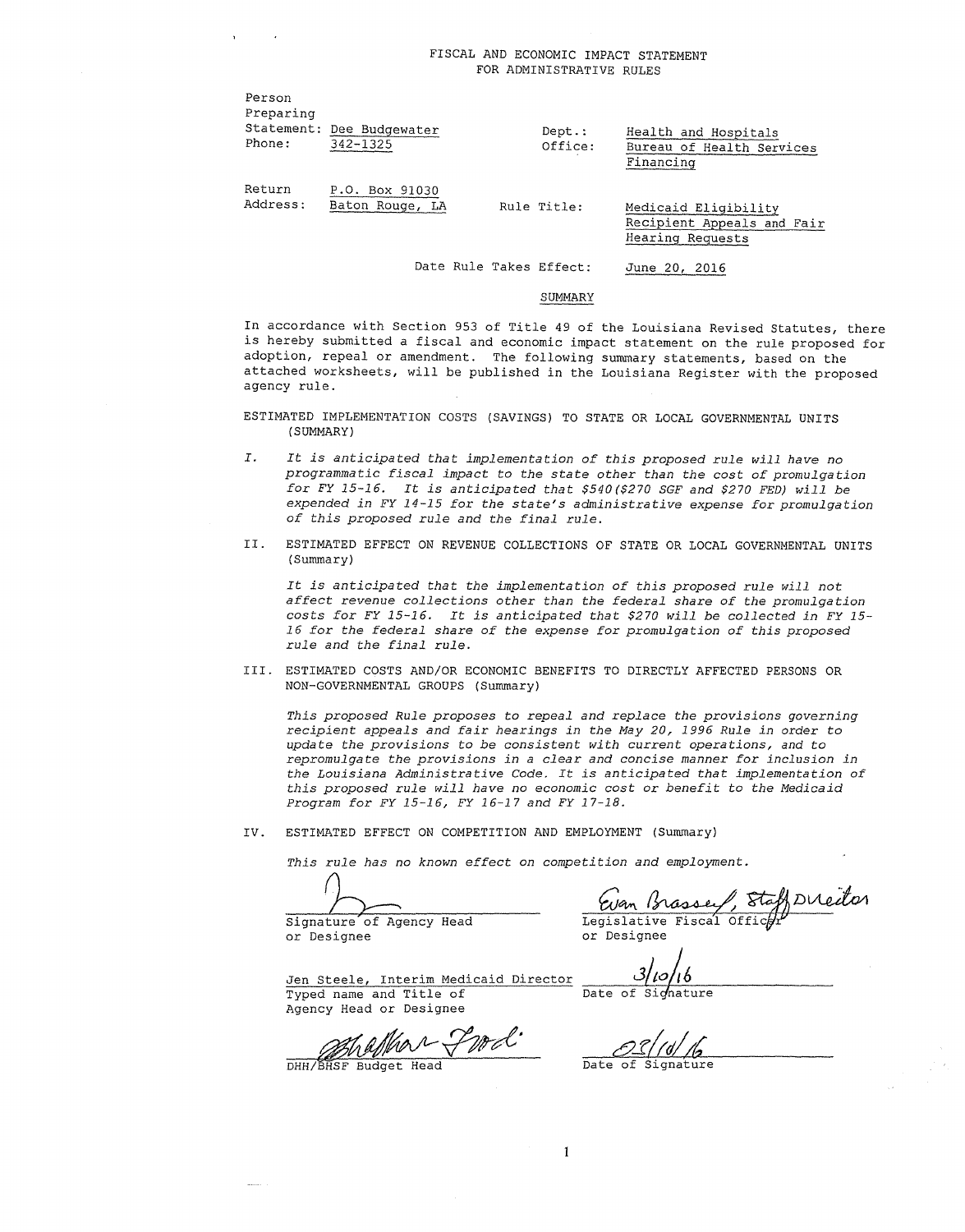| Preparing<br>Phone: | Statement: Dee Budgewater<br>$342 - 1325$ | $Dept.$ :<br>Office: | Health and Hospitals<br>Bureau of Health Services<br>Financing         |  |
|---------------------|-------------------------------------------|----------------------|------------------------------------------------------------------------|--|
| Return<br>Address:  | P.O. Box 91030<br>Baton Rouge, LA         | Rule Title:          | Medicaid Eligibility<br>Recipient Appeals and Fair<br>Hearing Requests |  |

Date Rule Takes Effect:

#### SUMMARY

June 20, 2016

In accordance with Section 953 of Title 49 of the Louisiana Revised Statutes, there is hereby submitted a fiscal and economic impact statement on the rule proposed for adoption, repeal or amendment. The following summary statements, based on the attached worksheets, will be published in the Louisiana Register with the proposed agency rule.

ESTIMATED IMPLEMENTATION COSTS (SAVINGS) TO STATE OR LOCAL GOVERNMENTAL UNITS (SUMMARY)

- *I. It is anticipated that implementation of this proposed rule will have no programmatic fiscal impact to the state other than the cost of promulgation for FY 15-16. It is anticipated that \$540(\$270 SGF and \$270 FED) will be expended in FY 14-15 for the state's administrative expense for promulgation of this proposed rule and the final rule.*
- II. ESTIMATED EFFECT ON REVENUE COLLECTIONS OF STATE OR LOCAL GOVERNMENTAL UNITS (Summary)

*It is anticipated that the implementation of this proposed rule will not affect revenue collections other than the federal share of the promulgation costs for FY 15-16. It is anticipated that \$270 will be collected in FY 15- 16 for the federal share of the expense for promulgation of this proposed rule and the final rule.* 

III. ESTIMATED COSTS AND/OR ECONOMIC BENEFITS TO DIRECTLY AFFECTED PERSONS OR NON-GOVERNMENTAL GROUPS (Summary)

*This proposed Rule proposes to repeal and replace the provisions governing recipient appeals and fair hearings in the May 20, 1996 Rule in order to update the provisions to be consistent with current operations, and to repromulgate the provisions in a clear and concise manner for inclusion in the Louisiana Administrative Code. It is anticipated that implementation of this proposed rule will have no economic cost or benefit to the Medicaid Program for FY 15-16, FY 16-17 and FY 17-18.* 

 $\mathbf{1}$ 

IV. ESTIMATED EFFECT ON COMPETITION AND EMPLOYMENT (Summary)

*This rule has no known effect on competition and employment.* 

Person

Signature of Agency Head Legislative Fiscal Officer

or Designee *or* Designee

*sbo/i6* 

Jen Steele, Interim Medicaid Director Typed name and Title of Agency Head or Designee  $\overline{Data}$ 

DHH/BHSF Budget Head

Date of Signature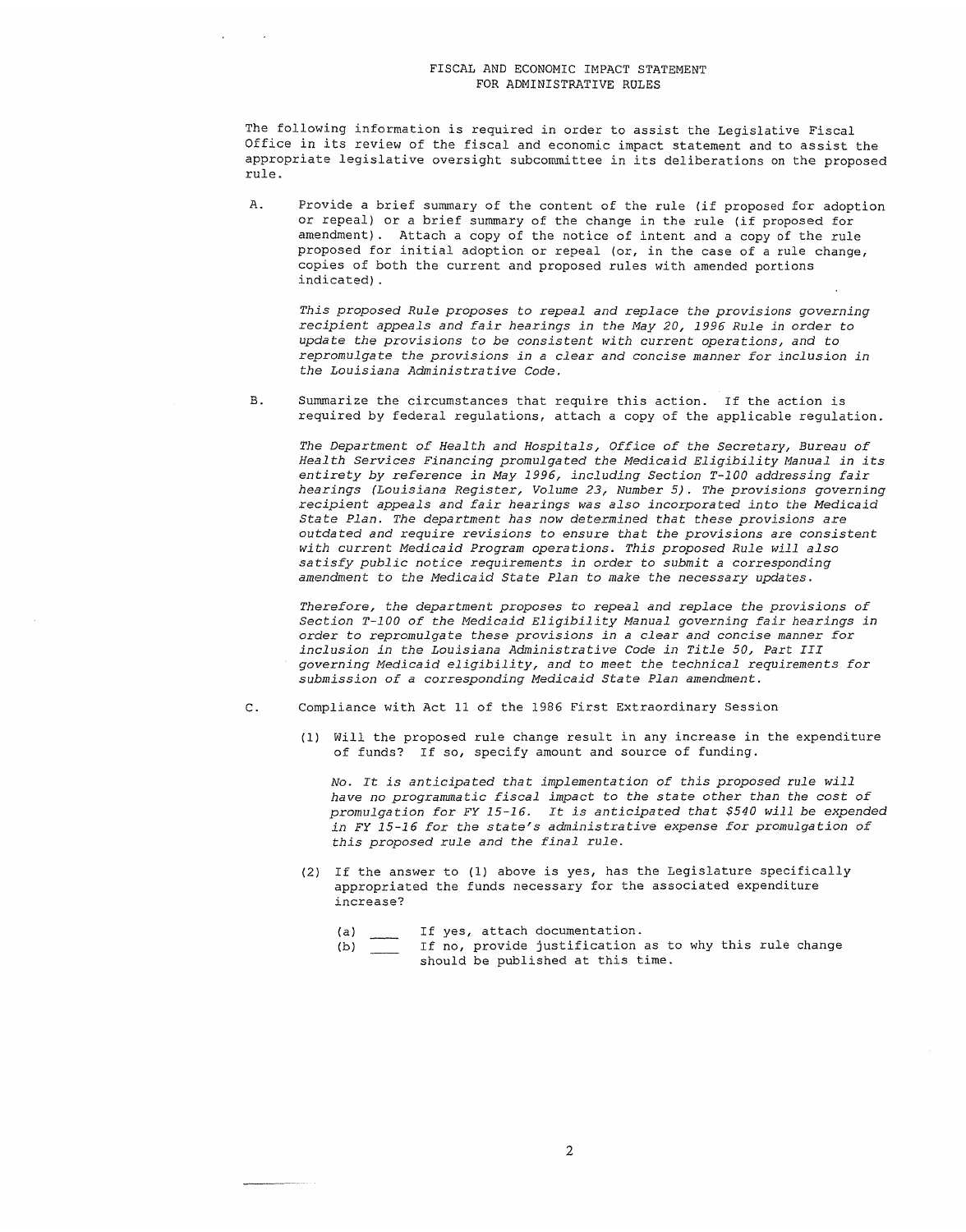The following information is required in order to assist the Legislative Fiscal Office in its review of the fiscal and economic impact statement and to assist the appropriate legislative oversight subcommittee in its deliberations on the proposed rule.

A. Provide a brief summary of the content of the rule (if proposed for adoption or repeal) or a brief summary of the change in the rule (if proposed for amendment) . Attach a copy of the notice of intent and a copy of the rule proposed for initial adoption or repeal (or, in the case of a rule change, copies of both the current and proposed rules with amended portions indicated) .

*This proposed Rule proposes to repeal and replace the provisions governing recipient appeals and fair hearings in the May 20, 1996 Rule in* order *to update the provisions to be consistent with current operations, and to repromulgate the provisions in a clear and concise manner for inclusion in the Louisiana Administrative Code.* 

B. Summarize the circumstances that require this action. If the action is required by federal regulations, attach a copy of the applicable regulation.

*The Department of Health and Hospitals, Office of the Secretary, Bureau of Health Services Financing promulgated the Medicaid Eligibility Manual in its entirety by reference in May 1996, including Section T-100 addressing fair hearings (Louisiana Register, Volume 23, Number 5). The provisions governing recipient appeals and fair hearings was also incorporated into the Medicaid State Plan. The department has now determined that these provisions are outdated and require revisions to ensure that the provisions are consistent with current Medicaid Program operations. This proposed Rule will also satisfy public notice requirements in* order *to submit a corresponding amendment to the Medicaid State Plan to make the necessary updates.* 

*Therefore, the department proposes to repeal and replace the provisions of Section T-100 of the Medicaid Eligibility Manual governing fair hearings in*  order *to repromulgate these provisions in a clear and concise manner for inclusion in the Louisiana Administrative Code in Title 50, Part III governing Medicaid eligibility, and to meet the technical requirements for submission of a corresponding Medicaid State Plan amendment.* 

- c. Compliance with Act 11 of the 1986 First Extraordinary Session
	- (1) Will the proposed rule change result in any increase in the expenditure of funds? If so, specify amount and source of funding.

*No. It is anticipated that implementation of this proposed rule will have no programmatic fiscal impact to the state other than the cost of promulgation for FY 15-16. It is anticipated that \$540 will be expended in FY 15-16 for the state's administrative expense for promulgation of this proposed rule and the final rule.* 

- (2) If the answer to (1) above is yes, has the Legislature specifically appropriated the funds necessary for the associated expenditure increase?
	- (a) If yes, attach documentation.
	- (b) If no, provide justification as to why this rule change should be published at this time.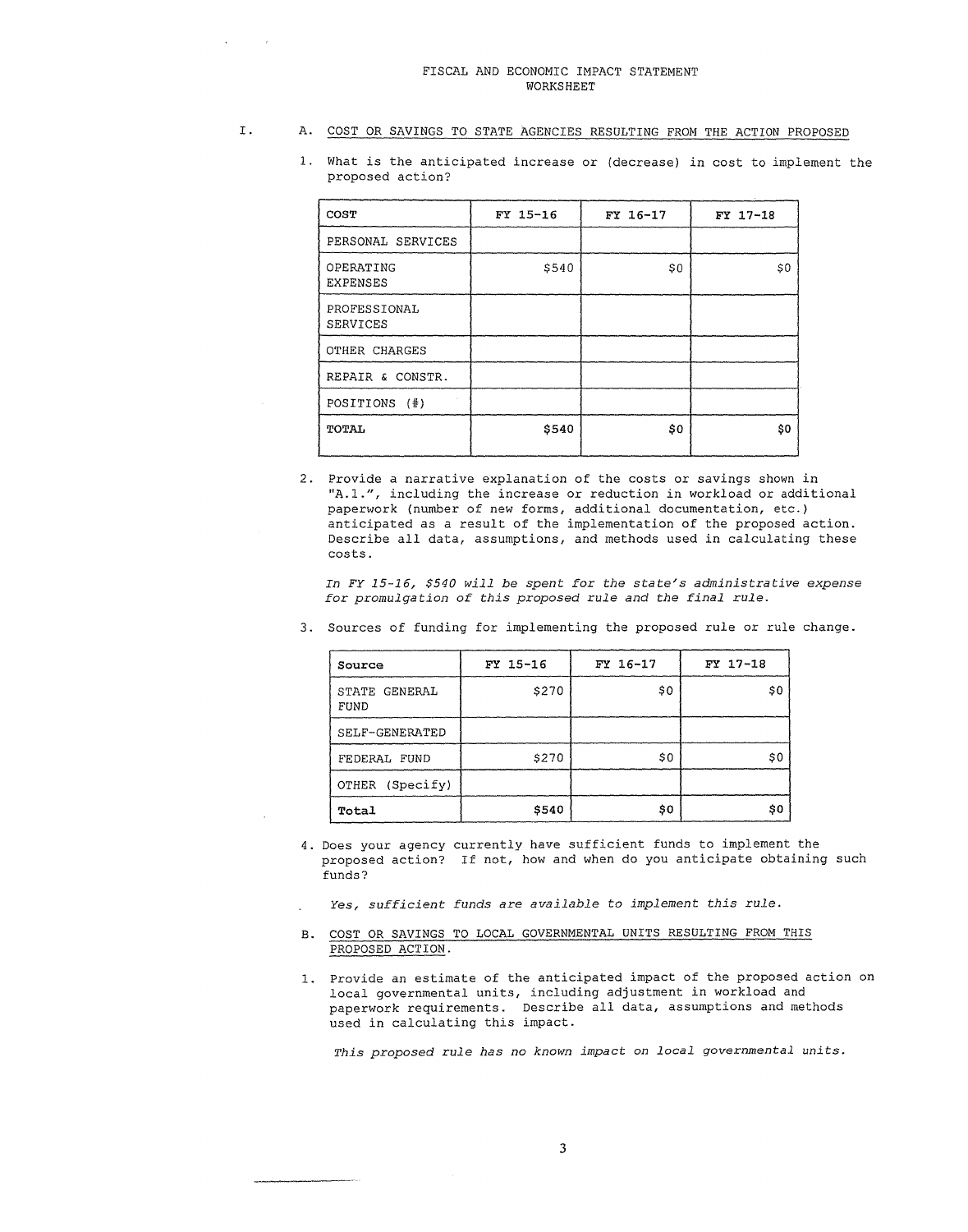proposed action?

### I. A. COST OR SAVINGS TO STATE AGENCIES RESULTING FROM THE ACTION PROPOSED

1. What is the anticipated increase or (decrease) in cost to implement the

- **COST FY 15-16 FY 16-17 FY 17-18**  PERSONAL SERVICES OPERATING | \$540 | \$0 | \$0 | EXPENSES PROFESSIONAL SERVICES OTHER CHARGES REPAIR & CONSTR. POSITIONS (#) **TOTAL \$540 \$540 \$0 \$0 \$0**
- 
- 2. Provide a narrative explanation of the costs or savings shown in "A.1.", including the increase or reduction in workload or additional paperwork (number of new forms, additional documentation, etc.) anticipated as a result of the implementation of the proposed action. Describe all data, assumptions, and methods used in calculating these costs.

*In FY 15-16, \$540 will be spent* for *the state's administrative expense for promulgation of this proposed rule and the final rule.* 

| Source                | FY 15-16 | FY 16-17 | FY 17-18 |
|-----------------------|----------|----------|----------|
| STATE GENERAL<br>FUND | \$270    | \$0      | \$0      |
| SELF-GENERATED        |          |          |          |
| FEDERAL FUND          | \$270    | \$0      | \$0      |
| (Specify)<br>OTHER    |          |          |          |
| Total                 | \$540    | \$0      | \$0      |

3. Sources of funding for implementing the proposed rule or rule change.

- 4. Does your agency currently have sufficient funds to implement the proposed action? If not, how and when do you anticipate obtaining such funds?
	- *Yes, sufficient funds are available to implement this rule.*
- B. COST OR SAVINGS TO LOCAL GOVERNMENTAL UNITS RESULTING FROM THIS PROPOSED ACTION.
- 1. Provide an estimate of the anticipated impact of the proposed action on local governmental units, including adjustment in workload and paperwork requirements. Describe all data, assumptions and methods used in calculating this impact.

*This proposed rule has no known impact on local governmental units.*